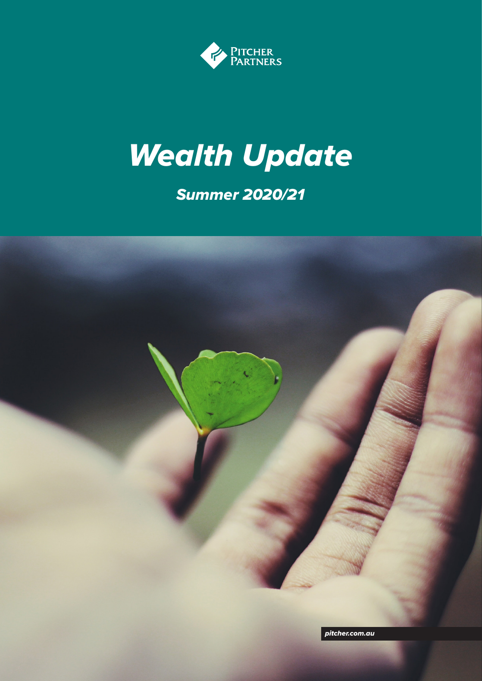

# *Wealth Update*

### *Summer 2020/21*

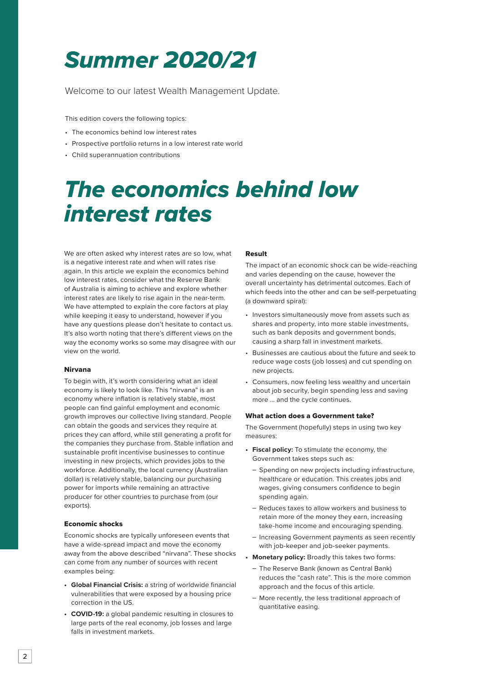## *Summer 2020/21*

Welcome to our latest Wealth Management Update.

This edition covers the following topics:

- The economics behind low interest rates
- Prospective portfolio returns in a low interest rate world
- Child superannuation contributions

## *The economics behind low interest rates*

We are often asked why interest rates are so low, what is a negative interest rate and when will rates rise again. In this article we explain the economics behind low interest rates, consider what the Reserve Bank of Australia is aiming to achieve and explore whether interest rates are likely to rise again in the near-term. We have attempted to explain the core factors at play while keeping it easy to understand, however if you have any questions please don't hesitate to contact us. It's also worth noting that there's different views on the way the economy works so some may disagree with our view on the world.

### Nirvana

To begin with, it's worth considering what an ideal economy is likely to look like. This "nirvana" is an economy where inflation is relatively stable, most people can find gainful employment and economic growth improves our collective living standard. People can obtain the goods and services they require at prices they can afford, while still generating a profit for the companies they purchase from. Stable inflation and sustainable profit incentivise businesses to continue investing in new projects, which provides jobs to the workforce. Additionally, the local currency (Australian dollar) is relatively stable, balancing our purchasing power for imports while remaining an attractive producer for other countries to purchase from (our exports).

### Economic shocks

Economic shocks are typically unforeseen events that have a wide-spread impact and move the economy away from the above described "nirvana". These shocks can come from any number of sources with recent examples being:

- **• Global Financial Crisis:** a string of worldwide financial vulnerabilities that were exposed by a housing price correction in the US.
- **• COVID-19:** a global pandemic resulting in closures to large parts of the real economy, job losses and large falls in investment markets.

### Result

The impact of an economic shock can be wide-reaching and varies depending on the cause, however the overall uncertainty has detrimental outcomes. Each of which feeds into the other and can be self-perpetuating (a downward spiral):

- Investors simultaneously move from assets such as shares and property, into more stable investments, such as bank deposits and government bonds, causing a sharp fall in investment markets.
- Businesses are cautious about the future and seek to reduce wage costs (job losses) and cut spending on new projects.
- Consumers, now feeling less wealthy and uncertain about job security, begin spending less and saving more … and the cycle continues.

#### What action does a Government take?

The Government (hopefully) steps in using two key measures:

- **• Fiscal policy:** To stimulate the economy, the Government takes steps such as:
	- Spending on new projects including infrastructure, healthcare or education. This creates jobs and wages, giving consumers confidence to begin spending again.
	- Reduces taxes to allow workers and business to retain more of the money they earn, increasing take-home income and encouraging spending.
	- Increasing Government payments as seen recently with job-keeper and job-seeker payments.
- **• Monetary policy:** Broadly this takes two forms:
	- The Reserve Bank (known as Central Bank) reduces the "cash rate". This is the more common approach and the focus of this article.
	- More recently, the less traditional approach of quantitative easing.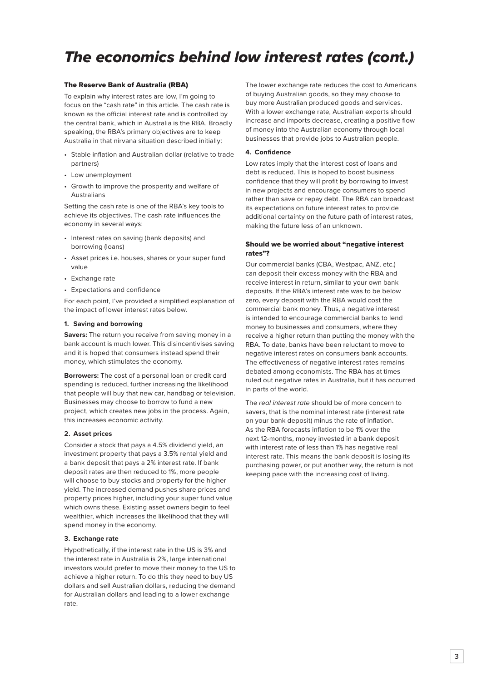### *The economics behind low interest rates (cont.)*

### The Reserve Bank of Australia (RBA)

To explain why interest rates are low, I'm going to focus on the "cash rate" in this article. The cash rate is known as the official interest rate and is controlled by the central bank, which in Australia is the RBA. Broadly speaking, the RBA's primary objectives are to keep Australia in that nirvana situation described initially:

- Stable inflation and Australian dollar (relative to trade partners)
- Low unemployment
- Growth to improve the prosperity and welfare of Australians

Setting the cash rate is one of the RBA's key tools to achieve its objectives. The cash rate influences the economy in several ways:

- Interest rates on saving (bank deposits) and borrowing (loans)
- Asset prices i.e. houses, shares or your super fund value
- Exchange rate
- Expectations and confidence

For each point, I've provided a simplified explanation of the impact of lower interest rates below.

### **1. Saving and borrowing**

**Savers:** The return you receive from saving money in a bank account is much lower. This disincentivises saving and it is hoped that consumers instead spend their money, which stimulates the economy.

**Borrowers:** The cost of a personal loan or credit card spending is reduced, further increasing the likelihood that people will buy that new car, handbag or television. Businesses may choose to borrow to fund a new project, which creates new jobs in the process. Again, this increases economic activity.

### **2. Asset prices**

Consider a stock that pays a 4.5% dividend yield, an investment property that pays a 3.5% rental yield and a bank deposit that pays a 2% interest rate. If bank deposit rates are then reduced to 1%, more people will choose to buy stocks and property for the higher yield. The increased demand pushes share prices and property prices higher, including your super fund value which owns these. Existing asset owners begin to feel wealthier, which increases the likelihood that they will spend money in the economy.

### **3. Exchange rate**

Hypothetically, if the interest rate in the US is 3% and the interest rate in Australia is 2%, large international investors would prefer to move their money to the US to achieve a higher return. To do this they need to buy US dollars and sell Australian dollars, reducing the demand for Australian dollars and leading to a lower exchange rate.

The lower exchange rate reduces the cost to Americans of buying Australian goods, so they may choose to buy more Australian produced goods and services. With a lower exchange rate, Australian exports should increase and imports decrease, creating a positive flow of money into the Australian economy through local businesses that provide jobs to Australian people.

### **4. Confidence**

Low rates imply that the interest cost of loans and debt is reduced. This is hoped to boost business confidence that they will profit by borrowing to invest in new projects and encourage consumers to spend rather than save or repay debt. The RBA can broadcast its expectations on future interest rates to provide additional certainty on the future path of interest rates, making the future less of an unknown.

### Should we be worried about "negative interest rates"?

Our commercial banks (CBA, Westpac, ANZ, etc.) can deposit their excess money with the RBA and receive interest in return, similar to your own bank deposits. If the RBA's interest rate was to be below zero, every deposit with the RBA would cost the commercial bank money. Thus, a negative interest is intended to encourage commercial banks to lend money to businesses and consumers, where they receive a higher return than putting the money with the RBA. To date, banks have been reluctant to move to negative interest rates on consumers bank accounts. The effectiveness of negative interest rates remains debated among economists. The RBA has at times ruled out negative rates in Australia, but it has occurred in parts of the world.

The *real interest rate* should be of more concern to savers, that is the nominal interest rate (interest rate on your bank deposit) minus the rate of inflation. As the RBA forecasts inflation to be 1% over the next 12-months, money invested in a bank deposit with interest rate of less than 1% has negative real interest rate. This means the bank deposit is losing its purchasing power, or put another way, the return is not keeping pace with the increasing cost of living.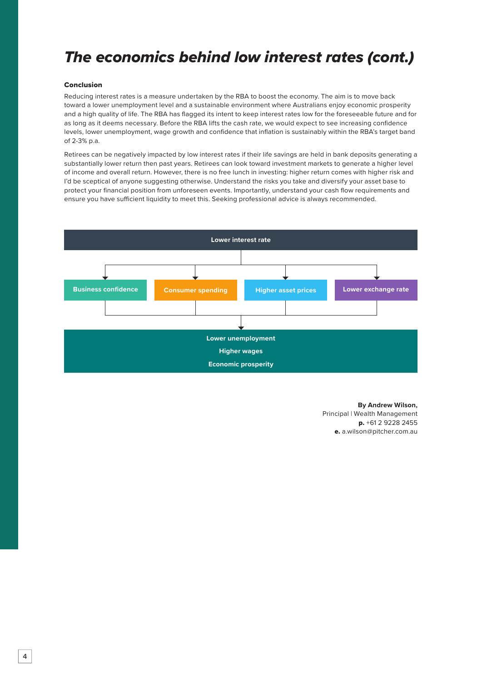### *The economics behind low interest rates (cont.)*

### Conclusion

Reducing interest rates is a measure undertaken by the RBA to boost the economy. The aim is to move back toward a lower unemployment level and a sustainable environment where Australians enjoy economic prosperity and a high quality of life. The RBA has flagged its intent to keep interest rates low for the foreseeable future and for as long as it deems necessary. Before the RBA lifts the cash rate, we would expect to see increasing confidence levels, lower unemployment, wage growth and confidence that inflation is sustainably within the RBA's target band of 2-3% p.a.

Retirees can be negatively impacted by low interest rates if their life savings are held in bank deposits generating a substantially lower return then past years. Retirees can look toward investment markets to generate a higher level of income and overall return. However, there is no free lunch in investing: higher return comes with higher risk and I'd be sceptical of anyone suggesting otherwise. Understand the risks you take and diversify your asset base to protect your financial position from unforeseen events. Importantly, understand your cash flow requirements and ensure you have sufficient liquidity to meet this. Seeking professional advice is always recommended.



**By Andrew Wilson,** Principal | Wealth Management p. +61 2 9228 2455 e. a.wilson@pitcher.com.au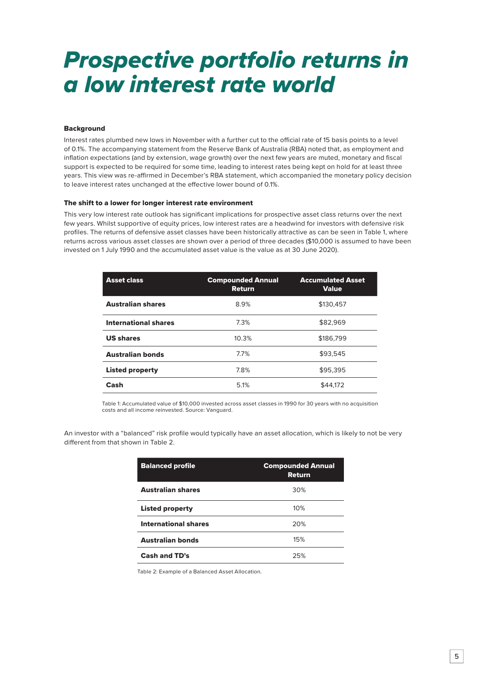## *Prospective portfolio returns in a low interest rate world*

### **Background**

Interest rates plumbed new lows in November with a further cut to the official rate of 15 basis points to a level of 0.1%. The accompanying statement from the Reserve Bank of Australia (RBA) noted that, as employment and inflation expectations (and by extension, wage growth) over the next few years are muted, monetary and fiscal support is expected to be required for some time, leading to interest rates being kept on hold for at least three years. This view was re-affirmed in December's RBA statement, which accompanied the monetary policy decision to leave interest rates unchanged at the effective lower bound of 0.1%.

#### The shift to a lower for longer interest rate environment

This very low interest rate outlook has significant implications for prospective asset class returns over the next few years. Whilst supportive of equity prices, low interest rates are a headwind for investors with defensive risk profiles. The returns of defensive asset classes have been historically attractive as can be seen in Table 1, where returns across various asset classes are shown over a period of three decades (\$10,000 is assumed to have been invested on 1 July 1990 and the accumulated asset value is the value as at 30 June 2020).

| <b>Asset class</b>          | <b>Compounded Annual</b><br><b>Return</b> | <b>Accumulated Asset</b><br><b>Value</b> |
|-----------------------------|-------------------------------------------|------------------------------------------|
| <b>Australian shares</b>    | 8.9%                                      | \$130.457                                |
| <b>International shares</b> | 7.3%                                      | \$82.969                                 |
| <b>US shares</b>            | 10.3%                                     | \$186.799                                |
| <b>Australian bonds</b>     | 7.7%                                      | \$93.545                                 |
| <b>Listed property</b>      | 7.8%                                      | \$95.395                                 |
| Cash                        | 5.1%                                      | \$44,172                                 |

Table 1: Accumulated value of \$10,000 invested across asset classes in 1990 for 30 years with no acquisition costs and all income reinvested. Source: Vanguard.

An investor with a "balanced" risk profile would typically have an asset allocation, which is likely to not be very different from that shown in Table 2.

| <b>Balanced profile</b>     | <b>Compounded Annual</b><br>Return |
|-----------------------------|------------------------------------|
| <b>Australian shares</b>    | 30%                                |
| <b>Listed property</b>      | 10%                                |
| <b>International shares</b> | 20%                                |
| <b>Australian bonds</b>     | 15%                                |
| <b>Cash and TD's</b>        | 25%                                |

Table 2: Example of a Balanced Asset Allocation.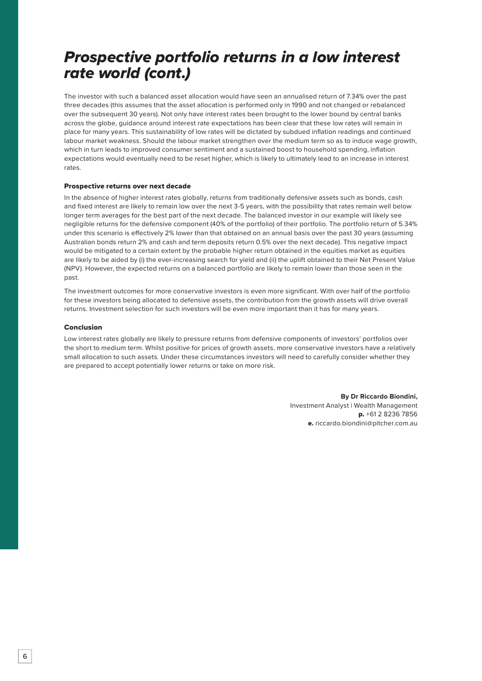### *Prospective portfolio returns in a low interest rate world (cont.)*

The investor with such a balanced asset allocation would have seen an annualised return of 7.34% over the past three decades (this assumes that the asset allocation is performed only in 1990 and not changed or rebalanced over the subsequent 30 years). Not only have interest rates been brought to the lower bound by central banks across the globe, guidance around interest rate expectations has been clear that these low rates will remain in place for many years. This sustainability of low rates will be dictated by subdued inflation readings and continued labour market weakness. Should the labour market strengthen over the medium term so as to induce wage growth, which in turn leads to improved consumer sentiment and a sustained boost to household spending, inflation expectations would eventually need to be reset higher, which is likely to ultimately lead to an increase in interest rates.

### Prospective returns over next decade

In the absence of higher interest rates globally, returns from traditionally defensive assets such as bonds, cash and fixed interest are likely to remain low over the next 3-5 years, with the possibility that rates remain well below longer term averages for the best part of the next decade. The balanced investor in our example will likely see negligible returns for the defensive component (40% of the portfolio) of their portfolio. The portfolio return of 5.34% under this scenario is effectively 2% lower than that obtained on an annual basis over the past 30 years (assuming Australian bonds return 2% and cash and term deposits return 0.5% over the next decade). This negative impact would be mitigated to a certain extent by the probable higher return obtained in the equities market as equities are likely to be aided by (i) the ever-increasing search for yield and (ii) the uplift obtained to their Net Present Value (NPV). However, the expected returns on a balanced portfolio are likely to remain lower than those seen in the past.

The investment outcomes for more conservative investors is even more significant. With over half of the portfolio for these investors being allocated to defensive assets, the contribution from the growth assets will drive overall returns. Investment selection for such investors will be even more important than it has for many years.

#### Conclusion

Low interest rates globally are likely to pressure returns from defensive components of investors' portfolios over the short to medium term. Whilst positive for prices of growth assets, more conservative investors have a relatively small allocation to such assets. Under these circumstances investors will need to carefully consider whether they are prepared to accept potentially lower returns or take on more risk.

> **By Dr Riccardo Biondini,** Investment Analyst | Wealth Management p. +61 2 8236 7856 e. riccardo.biondini@pitcher.com.au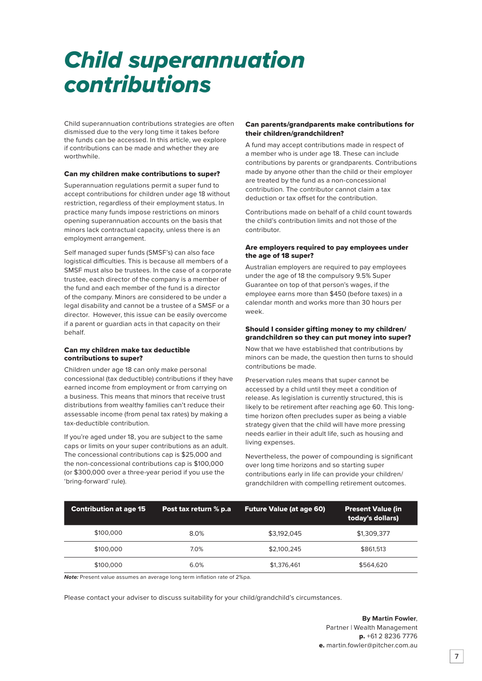## *Child superannuation contributions*

Child superannuation contributions strategies are often dismissed due to the very long time it takes before the funds can be accessed. In this article, we explore if contributions can be made and whether they are worthwhile.

### Can my children make contributions to super?

Superannuation regulations permit a super fund to accept contributions for children under age 18 without restriction, regardless of their employment status. In practice many funds impose restrictions on minors opening superannuation accounts on the basis that minors lack contractual capacity, unless there is an employment arrangement.

Self managed super funds (SMSF's) can also face logistical difficulties. This is because all members of a SMSF must also be trustees. In the case of a corporate trustee, each director of the company is a member of the fund and each member of the fund is a director of the company. Minors are considered to be under a legal disability and cannot be a trustee of a SMSF or a director. However, this issue can be easily overcome if a parent or guardian acts in that capacity on their behalf.

### Can my children make tax deductible contributions to super?

Children under age 18 can only make personal concessional (tax deductible) contributions if they have earned income from employment or from carrying on a business. This means that minors that receive trust distributions from wealthy families can't reduce their assessable income (from penal tax rates) by making a tax-deductible contribution.

If you're aged under 18, you are subject to the same caps or limits on your super contributions as an adult. The concessional contributions cap is \$25,000 and the non-concessional contributions cap is \$100,000 (or \$300,000 over a three-year period if you use the 'bring-forward' rule).

### Can parents/grandparents make contributions for their children/grandchildren?

A fund may accept contributions made in respect of a member who is under age 18. These can include contributions by parents or grandparents. Contributions made by anyone other than the child or their employer are treated by the fund as a non-concessional contribution. The contributor cannot claim a tax deduction or tax offset for the contribution.

Contributions made on behalf of a child count towards the child's contribution limits and not those of the contributor.

### Are employers required to pay employees under the age of 18 super?

Australian employers are required to pay employees under the age of 18 the compulsory 9.5% Super Guarantee on top of that person's wages, if the employee earns more than \$450 (before taxes) in a calendar month and works more than 30 hours per week.

### Should I consider gifting money to my children/ grandchildren so they can put money into super?

Now that we have established that contributions by minors can be made, the question then turns to should contributions be made.

Preservation rules means that super cannot be accessed by a child until they meet a condition of release. As legislation is currently structured, this is likely to be retirement after reaching age 60. This longtime horizon often precludes super as being a viable strategy given that the child will have more pressing needs earlier in their adult life, such as housing and living expenses.

Nevertheless, the power of compounding is significant over long time horizons and so starting super contributions early in life can provide your children/ grandchildren with compelling retirement outcomes.

| <b>Contribution at age 15</b> | Post tax return % p.a | <b>Future Value (at age 60)</b> | <b>Present Value (in</b><br>today's dollars) |
|-------------------------------|-----------------------|---------------------------------|----------------------------------------------|
| \$100,000                     | 8.0%                  | \$3,192,045                     | \$1,309,377                                  |
| \$100,000                     | 7.0%                  | \$2,100,245                     | \$861,513                                    |
| \$100,000                     | 6.0%                  | \$1,376,461                     | \$564,620                                    |

*Note:* Present value assumes an average long term inflation rate of 2%pa.

Please contact your adviser to discuss suitability for your child/grandchild's circumstances.

**By Martin Fowler**, Partner | Wealth Management p. +61 2 8236 7776 e. martin.fowler@pitcher.com.au